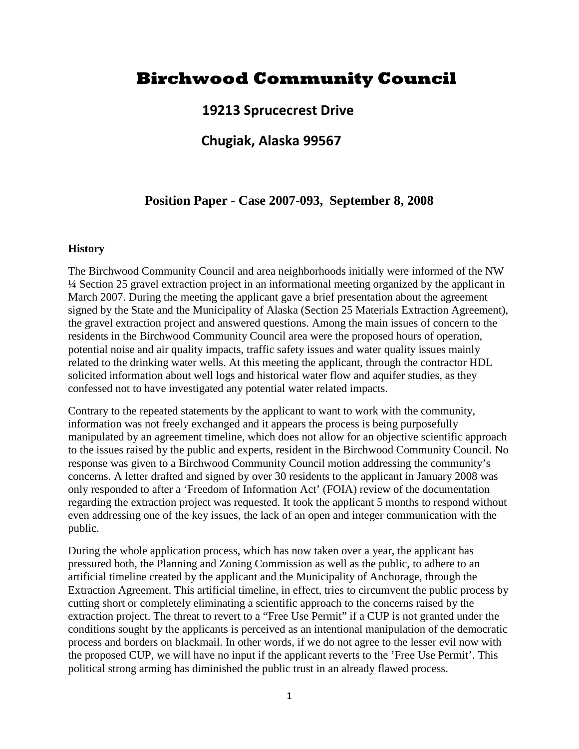# **Birchwood Community Council**

# **19213 Sprucecrest Drive**

# **Chugiak, Alaska 99567**

# **Position Paper - Case 2007-093, September 8, 2008**

#### **History**

The Birchwood Community Council and area neighborhoods initially were informed of the NW ¼ Section 25 gravel extraction project in an informational meeting organized by the applicant in March 2007. During the meeting the applicant gave a brief presentation about the agreement signed by the State and the Municipality of Alaska (Section 25 Materials Extraction Agreement), the gravel extraction project and answered questions. Among the main issues of concern to the residents in the Birchwood Community Council area were the proposed hours of operation, potential noise and air quality impacts, traffic safety issues and water quality issues mainly related to the drinking water wells. At this meeting the applicant, through the contractor HDL solicited information about well logs and historical water flow and aquifer studies, as they confessed not to have investigated any potential water related impacts.

Contrary to the repeated statements by the applicant to want to work with the community, information was not freely exchanged and it appears the process is being purposefully manipulated by an agreement timeline, which does not allow for an objective scientific approach to the issues raised by the public and experts, resident in the Birchwood Community Council. No response was given to a Birchwood Community Council motion addressing the community's concerns. A letter drafted and signed by over 30 residents to the applicant in January 2008 was only responded to after a 'Freedom of Information Act' (FOIA) review of the documentation regarding the extraction project was requested. It took the applicant 5 months to respond without even addressing one of the key issues, the lack of an open and integer communication with the public.

During the whole application process, which has now taken over a year, the applicant has pressured both, the Planning and Zoning Commission as well as the public, to adhere to an artificial timeline created by the applicant and the Municipality of Anchorage, through the Extraction Agreement. This artificial timeline, in effect, tries to circumvent the public process by cutting short or completely eliminating a scientific approach to the concerns raised by the extraction project. The threat to revert to a "Free Use Permit" if a CUP is not granted under the conditions sought by the applicants is perceived as an intentional manipulation of the democratic process and borders on blackmail. In other words, if we do not agree to the lesser evil now with the proposed CUP, we will have no input if the applicant reverts to the 'Free Use Permit'. This political strong arming has diminished the public trust in an already flawed process.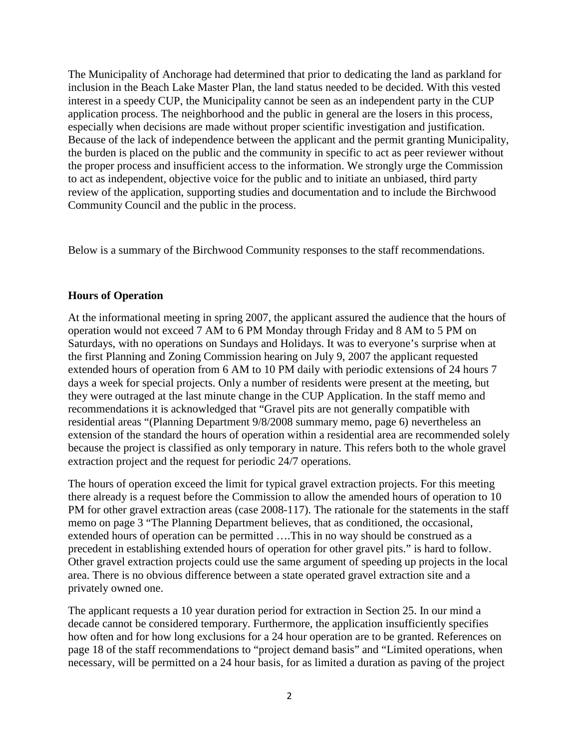The Municipality of Anchorage had determined that prior to dedicating the land as parkland for inclusion in the Beach Lake Master Plan, the land status needed to be decided. With this vested interest in a speedy CUP, the Municipality cannot be seen as an independent party in the CUP application process. The neighborhood and the public in general are the losers in this process, especially when decisions are made without proper scientific investigation and justification. Because of the lack of independence between the applicant and the permit granting Municipality, the burden is placed on the public and the community in specific to act as peer reviewer without the proper process and insufficient access to the information. We strongly urge the Commission to act as independent, objective voice for the public and to initiate an unbiased, third party review of the application, supporting studies and documentation and to include the Birchwood Community Council and the public in the process.

Below is a summary of the Birchwood Community responses to the staff recommendations.

# **Hours of Operation**

At the informational meeting in spring 2007, the applicant assured the audience that the hours of operation would not exceed 7 AM to 6 PM Monday through Friday and 8 AM to 5 PM on Saturdays, with no operations on Sundays and Holidays. It was to everyone's surprise when at the first Planning and Zoning Commission hearing on July 9, 2007 the applicant requested extended hours of operation from 6 AM to 10 PM daily with periodic extensions of 24 hours 7 days a week for special projects. Only a number of residents were present at the meeting, but they were outraged at the last minute change in the CUP Application. In the staff memo and recommendations it is acknowledged that "Gravel pits are not generally compatible with residential areas "(Planning Department 9/8/2008 summary memo, page 6) nevertheless an extension of the standard the hours of operation within a residential area are recommended solely because the project is classified as only temporary in nature. This refers both to the whole gravel extraction project and the request for periodic 24/7 operations.

The hours of operation exceed the limit for typical gravel extraction projects. For this meeting there already is a request before the Commission to allow the amended hours of operation to 10 PM for other gravel extraction areas (case 2008-117). The rationale for the statements in the staff memo on page 3 "The Planning Department believes, that as conditioned, the occasional, extended hours of operation can be permitted ….This in no way should be construed as a precedent in establishing extended hours of operation for other gravel pits." is hard to follow. Other gravel extraction projects could use the same argument of speeding up projects in the local area. There is no obvious difference between a state operated gravel extraction site and a privately owned one.

The applicant requests a 10 year duration period for extraction in Section 25. In our mind a decade cannot be considered temporary. Furthermore, the application insufficiently specifies how often and for how long exclusions for a 24 hour operation are to be granted. References on page 18 of the staff recommendations to "project demand basis" and "Limited operations, when necessary, will be permitted on a 24 hour basis, for as limited a duration as paving of the project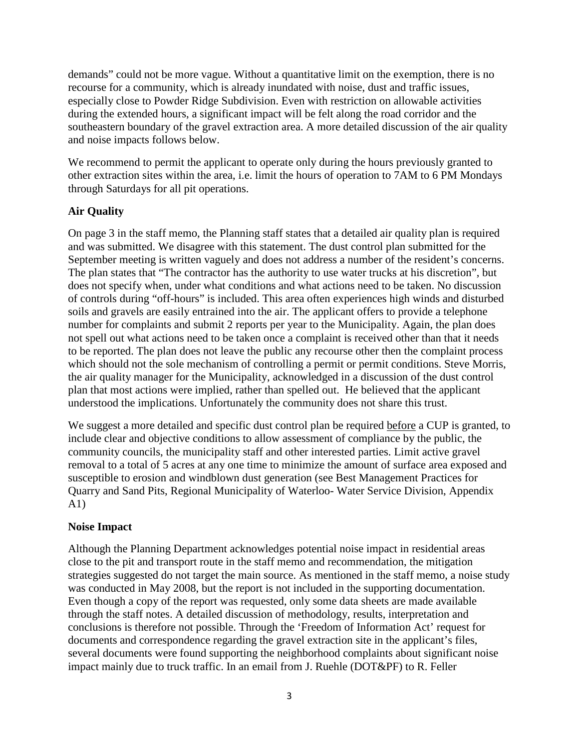demands" could not be more vague. Without a quantitative limit on the exemption, there is no recourse for a community, which is already inundated with noise, dust and traffic issues, especially close to Powder Ridge Subdivision. Even with restriction on allowable activities during the extended hours, a significant impact will be felt along the road corridor and the southeastern boundary of the gravel extraction area. A more detailed discussion of the air quality and noise impacts follows below.

We recommend to permit the applicant to operate only during the hours previously granted to other extraction sites within the area, i.e. limit the hours of operation to 7AM to 6 PM Mondays through Saturdays for all pit operations.

# **Air Quality**

On page 3 in the staff memo, the Planning staff states that a detailed air quality plan is required and was submitted. We disagree with this statement. The dust control plan submitted for the September meeting is written vaguely and does not address a number of the resident's concerns. The plan states that "The contractor has the authority to use water trucks at his discretion", but does not specify when, under what conditions and what actions need to be taken. No discussion of controls during "off-hours" is included. This area often experiences high winds and disturbed soils and gravels are easily entrained into the air. The applicant offers to provide a telephone number for complaints and submit 2 reports per year to the Municipality. Again, the plan does not spell out what actions need to be taken once a complaint is received other than that it needs to be reported. The plan does not leave the public any recourse other then the complaint process which should not the sole mechanism of controlling a permit or permit conditions. Steve Morris, the air quality manager for the Municipality, acknowledged in a discussion of the dust control plan that most actions were implied, rather than spelled out. He believed that the applicant understood the implications. Unfortunately the community does not share this trust.

We suggest a more detailed and specific dust control plan be required before a CUP is granted, to include clear and objective conditions to allow assessment of compliance by the public, the community councils, the municipality staff and other interested parties. Limit active gravel removal to a total of 5 acres at any one time to minimize the amount of surface area exposed and susceptible to erosion and windblown dust generation (see Best Management Practices for Quarry and Sand Pits, Regional Municipality of Waterloo- Water Service Division, Appendix A1)

# **Noise Impact**

Although the Planning Department acknowledges potential noise impact in residential areas close to the pit and transport route in the staff memo and recommendation, the mitigation strategies suggested do not target the main source. As mentioned in the staff memo, a noise study was conducted in May 2008, but the report is not included in the supporting documentation. Even though a copy of the report was requested, only some data sheets are made available through the staff notes. A detailed discussion of methodology, results, interpretation and conclusions is therefore not possible. Through the 'Freedom of Information Act' request for documents and correspondence regarding the gravel extraction site in the applicant's files, several documents were found supporting the neighborhood complaints about significant noise impact mainly due to truck traffic. In an email from J. Ruehle (DOT&PF) to R. Feller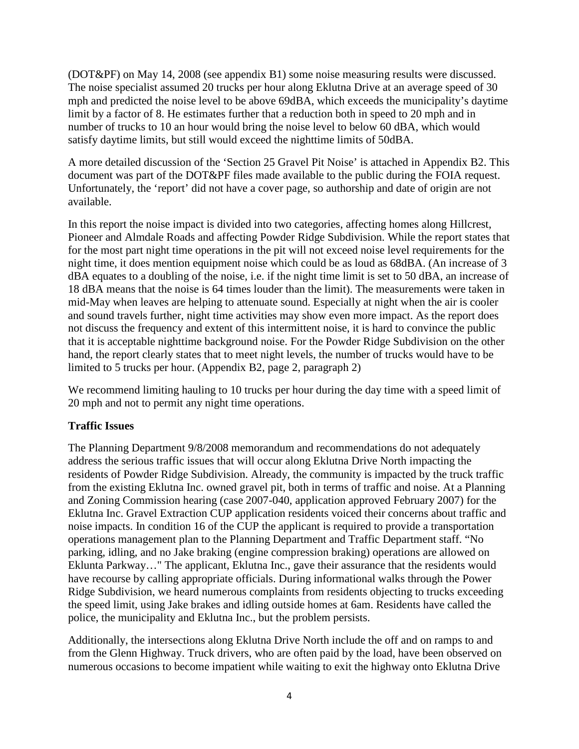(DOT&PF) on May 14, 2008 (see appendix B1) some noise measuring results were discussed. The noise specialist assumed 20 trucks per hour along Eklutna Drive at an average speed of 30 mph and predicted the noise level to be above 69dBA, which exceeds the municipality's daytime limit by a factor of 8. He estimates further that a reduction both in speed to 20 mph and in number of trucks to 10 an hour would bring the noise level to below 60 dBA, which would satisfy daytime limits, but still would exceed the nighttime limits of 50dBA.

A more detailed discussion of the 'Section 25 Gravel Pit Noise' is attached in Appendix B2. This document was part of the DOT&PF files made available to the public during the FOIA request. Unfortunately, the 'report' did not have a cover page, so authorship and date of origin are not available.

In this report the noise impact is divided into two categories, affecting homes along Hillcrest, Pioneer and Almdale Roads and affecting Powder Ridge Subdivision. While the report states that for the most part night time operations in the pit will not exceed noise level requirements for the night time, it does mention equipment noise which could be as loud as 68dBA. (An increase of 3 dBA equates to a doubling of the noise, i.e. if the night time limit is set to 50 dBA, an increase of 18 dBA means that the noise is 64 times louder than the limit). The measurements were taken in mid-May when leaves are helping to attenuate sound. Especially at night when the air is cooler and sound travels further, night time activities may show even more impact. As the report does not discuss the frequency and extent of this intermittent noise, it is hard to convince the public that it is acceptable nighttime background noise. For the Powder Ridge Subdivision on the other hand, the report clearly states that to meet night levels, the number of trucks would have to be limited to 5 trucks per hour. (Appendix B2, page 2, paragraph 2)

We recommend limiting hauling to 10 trucks per hour during the day time with a speed limit of 20 mph and not to permit any night time operations.

# **Traffic Issues**

The Planning Department 9/8/2008 memorandum and recommendations do not adequately address the serious traffic issues that will occur along Eklutna Drive North impacting the residents of Powder Ridge Subdivision. Already, the community is impacted by the truck traffic from the existing Eklutna Inc. owned gravel pit, both in terms of traffic and noise. At a Planning and Zoning Commission hearing (case 2007-040, application approved February 2007) for the Eklutna Inc. Gravel Extraction CUP application residents voiced their concerns about traffic and noise impacts. In condition 16 of the CUP the applicant is required to provide a transportation operations management plan to the Planning Department and Traffic Department staff. "No parking, idling, and no Jake braking (engine compression braking) operations are allowed on Eklunta Parkway…" The applicant, Eklutna Inc., gave their assurance that the residents would have recourse by calling appropriate officials. During informational walks through the Power Ridge Subdivision, we heard numerous complaints from residents objecting to trucks exceeding the speed limit, using Jake brakes and idling outside homes at 6am. Residents have called the police, the municipality and Eklutna Inc., but the problem persists.

Additionally, the intersections along Eklutna Drive North include the off and on ramps to and from the Glenn Highway. Truck drivers, who are often paid by the load, have been observed on numerous occasions to become impatient while waiting to exit the highway onto Eklutna Drive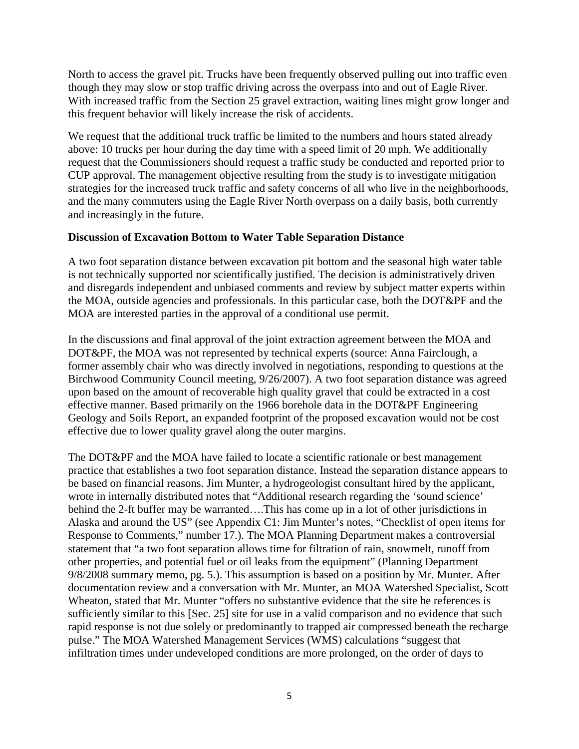North to access the gravel pit. Trucks have been frequently observed pulling out into traffic even though they may slow or stop traffic driving across the overpass into and out of Eagle River. With increased traffic from the Section 25 gravel extraction, waiting lines might grow longer and this frequent behavior will likely increase the risk of accidents.

We request that the additional truck traffic be limited to the numbers and hours stated already above: 10 trucks per hour during the day time with a speed limit of 20 mph. We additionally request that the Commissioners should request a traffic study be conducted and reported prior to CUP approval. The management objective resulting from the study is to investigate mitigation strategies for the increased truck traffic and safety concerns of all who live in the neighborhoods, and the many commuters using the Eagle River North overpass on a daily basis, both currently and increasingly in the future.

## **Discussion of Excavation Bottom to Water Table Separation Distance**

A two foot separation distance between excavation pit bottom and the seasonal high water table is not technically supported nor scientifically justified. The decision is administratively driven and disregards independent and unbiased comments and review by subject matter experts within the MOA, outside agencies and professionals. In this particular case, both the DOT&PF and the MOA are interested parties in the approval of a conditional use permit.

In the discussions and final approval of the joint extraction agreement between the MOA and DOT&PF, the MOA was not represented by technical experts (source: Anna Fairclough, a former assembly chair who was directly involved in negotiations, responding to questions at the Birchwood Community Council meeting, 9/26/2007). A two foot separation distance was agreed upon based on the amount of recoverable high quality gravel that could be extracted in a cost effective manner. Based primarily on the 1966 borehole data in the DOT&PF Engineering Geology and Soils Report, an expanded footprint of the proposed excavation would not be cost effective due to lower quality gravel along the outer margins.

The DOT&PF and the MOA have failed to locate a scientific rationale or best management practice that establishes a two foot separation distance. Instead the separation distance appears to be based on financial reasons. Jim Munter, a hydrogeologist consultant hired by the applicant, wrote in internally distributed notes that "Additional research regarding the 'sound science' behind the 2-ft buffer may be warranted….This has come up in a lot of other jurisdictions in Alaska and around the US" (see Appendix C1: Jim Munter's notes, "Checklist of open items for Response to Comments," number 17.). The MOA Planning Department makes a controversial statement that "a two foot separation allows time for filtration of rain, snowmelt, runoff from other properties, and potential fuel or oil leaks from the equipment" (Planning Department 9/8/2008 summary memo, pg. 5.). This assumption is based on a position by Mr. Munter. After documentation review and a conversation with Mr. Munter, an MOA Watershed Specialist, Scott Wheaton, stated that Mr. Munter "offers no substantive evidence that the site he references is sufficiently similar to this [Sec. 25] site for use in a valid comparison and no evidence that such rapid response is not due solely or predominantly to trapped air compressed beneath the recharge pulse." The MOA Watershed Management Services (WMS) calculations "suggest that infiltration times under undeveloped conditions are more prolonged, on the order of days to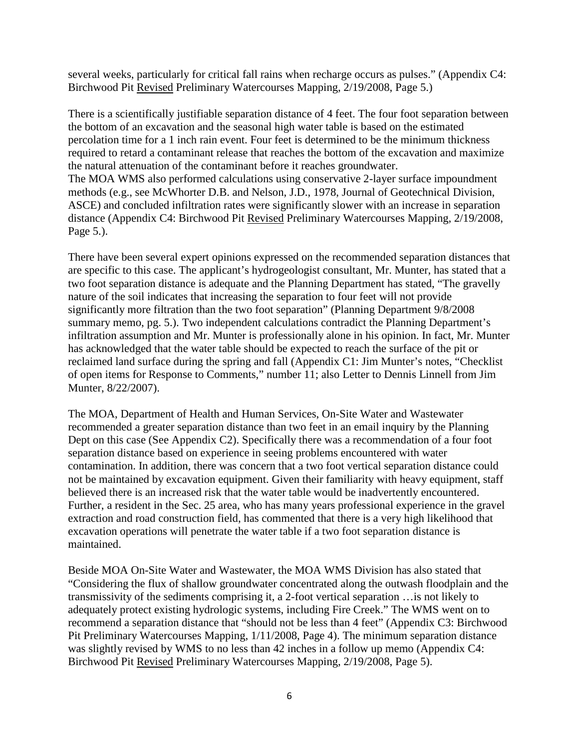several weeks, particularly for critical fall rains when recharge occurs as pulses." (Appendix C4: Birchwood Pit Revised Preliminary Watercourses Mapping, 2/19/2008, Page 5.)

There is a scientifically justifiable separation distance of 4 feet. The four foot separation between the bottom of an excavation and the seasonal high water table is based on the estimated percolation time for a 1 inch rain event. Four feet is determined to be the minimum thickness required to retard a contaminant release that reaches the bottom of the excavation and maximize the natural attenuation of the contaminant before it reaches groundwater. The MOA WMS also performed calculations using conservative 2-layer surface impoundment methods (e.g., see McWhorter D.B. and Nelson, J.D., 1978, Journal of Geotechnical Division, ASCE) and concluded infiltration rates were significantly slower with an increase in separation distance (Appendix C4: Birchwood Pit Revised Preliminary Watercourses Mapping, 2/19/2008, Page 5.).

There have been several expert opinions expressed on the recommended separation distances that are specific to this case. The applicant's hydrogeologist consultant, Mr. Munter, has stated that a two foot separation distance is adequate and the Planning Department has stated, "The gravelly nature of the soil indicates that increasing the separation to four feet will not provide significantly more filtration than the two foot separation" (Planning Department 9/8/2008 summary memo, pg. 5.). Two independent calculations contradict the Planning Department's infiltration assumption and Mr. Munter is professionally alone in his opinion. In fact, Mr. Munter has acknowledged that the water table should be expected to reach the surface of the pit or reclaimed land surface during the spring and fall (Appendix C1: Jim Munter's notes, "Checklist of open items for Response to Comments," number 11; also Letter to Dennis Linnell from Jim Munter, 8/22/2007).

The MOA, Department of Health and Human Services, On-Site Water and Wastewater recommended a greater separation distance than two feet in an email inquiry by the Planning Dept on this case (See Appendix C2). Specifically there was a recommendation of a four foot separation distance based on experience in seeing problems encountered with water contamination. In addition, there was concern that a two foot vertical separation distance could not be maintained by excavation equipment. Given their familiarity with heavy equipment, staff believed there is an increased risk that the water table would be inadvertently encountered. Further, a resident in the Sec. 25 area, who has many years professional experience in the gravel extraction and road construction field, has commented that there is a very high likelihood that excavation operations will penetrate the water table if a two foot separation distance is maintained.

Beside MOA On-Site Water and Wastewater, the MOA WMS Division has also stated that "Considering the flux of shallow groundwater concentrated along the outwash floodplain and the transmissivity of the sediments comprising it, a 2-foot vertical separation …is not likely to adequately protect existing hydrologic systems, including Fire Creek." The WMS went on to recommend a separation distance that "should not be less than 4 feet" (Appendix C3: Birchwood Pit Preliminary Watercourses Mapping, 1/11/2008, Page 4). The minimum separation distance was slightly revised by WMS to no less than 42 inches in a follow up memo (Appendix C4: Birchwood Pit Revised Preliminary Watercourses Mapping, 2/19/2008, Page 5).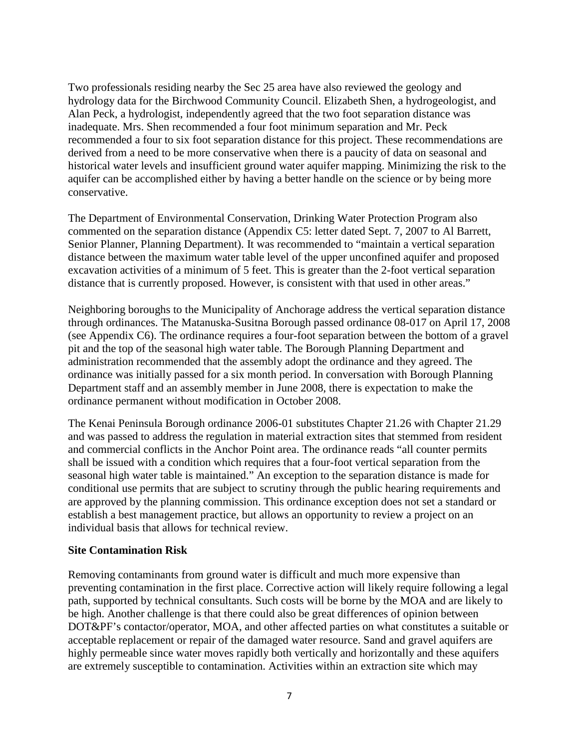Two professionals residing nearby the Sec 25 area have also reviewed the geology and hydrology data for the Birchwood Community Council. Elizabeth Shen, a hydrogeologist, and Alan Peck, a hydrologist, independently agreed that the two foot separation distance was inadequate. Mrs. Shen recommended a four foot minimum separation and Mr. Peck recommended a four to six foot separation distance for this project. These recommendations are derived from a need to be more conservative when there is a paucity of data on seasonal and historical water levels and insufficient ground water aquifer mapping. Minimizing the risk to the aquifer can be accomplished either by having a better handle on the science or by being more conservative.

The Department of Environmental Conservation, Drinking Water Protection Program also commented on the separation distance (Appendix C5: letter dated Sept. 7, 2007 to Al Barrett, Senior Planner, Planning Department). It was recommended to "maintain a vertical separation distance between the maximum water table level of the upper unconfined aquifer and proposed excavation activities of a minimum of 5 feet. This is greater than the 2-foot vertical separation distance that is currently proposed. However, is consistent with that used in other areas."

Neighboring boroughs to the Municipality of Anchorage address the vertical separation distance through ordinances. The Matanuska-Susitna Borough passed ordinance 08-017 on April 17, 2008 (see Appendix C6). The ordinance requires a four-foot separation between the bottom of a gravel pit and the top of the seasonal high water table. The Borough Planning Department and administration recommended that the assembly adopt the ordinance and they agreed. The ordinance was initially passed for a six month period. In conversation with Borough Planning Department staff and an assembly member in June 2008, there is expectation to make the ordinance permanent without modification in October 2008.

The Kenai Peninsula Borough ordinance 2006-01 substitutes Chapter 21.26 with Chapter 21.29 and was passed to address the regulation in material extraction sites that stemmed from resident and commercial conflicts in the Anchor Point area. The ordinance reads "all counter permits shall be issued with a condition which requires that a four-foot vertical separation from the seasonal high water table is maintained." An exception to the separation distance is made for conditional use permits that are subject to scrutiny through the public hearing requirements and are approved by the planning commission. This ordinance exception does not set a standard or establish a best management practice, but allows an opportunity to review a project on an individual basis that allows for technical review.

#### **Site Contamination Risk**

Removing contaminants from ground water is difficult and much more expensive than preventing contamination in the first place. Corrective action will likely require following a legal path, supported by technical consultants. Such costs will be borne by the MOA and are likely to be high. Another challenge is that there could also be great differences of opinion between DOT&PF's contactor/operator, MOA, and other affected parties on what constitutes a suitable or acceptable replacement or repair of the damaged water resource. Sand and gravel aquifers are highly permeable since water moves rapidly both vertically and horizontally and these aquifers are extremely susceptible to contamination. Activities within an extraction site which may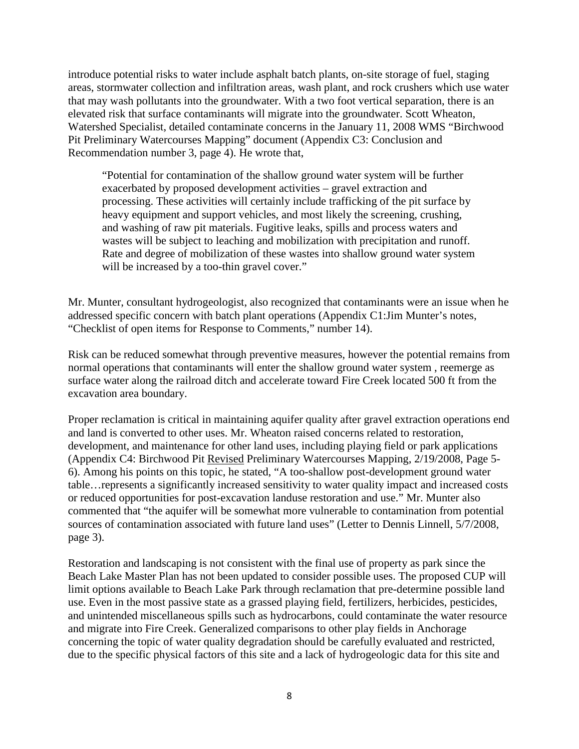introduce potential risks to water include asphalt batch plants, on-site storage of fuel, staging areas, stormwater collection and infiltration areas, wash plant, and rock crushers which use water that may wash pollutants into the groundwater. With a two foot vertical separation, there is an elevated risk that surface contaminants will migrate into the groundwater. Scott Wheaton, Watershed Specialist, detailed contaminate concerns in the January 11, 2008 WMS "Birchwood Pit Preliminary Watercourses Mapping" document (Appendix C3: Conclusion and Recommendation number 3, page 4). He wrote that,

"Potential for contamination of the shallow ground water system will be further exacerbated by proposed development activities – gravel extraction and processing. These activities will certainly include trafficking of the pit surface by heavy equipment and support vehicles, and most likely the screening, crushing, and washing of raw pit materials. Fugitive leaks, spills and process waters and wastes will be subject to leaching and mobilization with precipitation and runoff. Rate and degree of mobilization of these wastes into shallow ground water system will be increased by a too-thin gravel cover."

Mr. Munter, consultant hydrogeologist, also recognized that contaminants were an issue when he addressed specific concern with batch plant operations (Appendix C1:Jim Munter's notes, "Checklist of open items for Response to Comments," number 14).

Risk can be reduced somewhat through preventive measures, however the potential remains from normal operations that contaminants will enter the shallow ground water system , reemerge as surface water along the railroad ditch and accelerate toward Fire Creek located 500 ft from the excavation area boundary.

Proper reclamation is critical in maintaining aquifer quality after gravel extraction operations end and land is converted to other uses. Mr. Wheaton raised concerns related to restoration, development, and maintenance for other land uses, including playing field or park applications (Appendix C4: Birchwood Pit Revised Preliminary Watercourses Mapping, 2/19/2008, Page 5- 6). Among his points on this topic, he stated, "A too-shallow post-development ground water table…represents a significantly increased sensitivity to water quality impact and increased costs or reduced opportunities for post-excavation landuse restoration and use." Mr. Munter also commented that "the aquifer will be somewhat more vulnerable to contamination from potential sources of contamination associated with future land uses" (Letter to Dennis Linnell, 5/7/2008, page 3).

Restoration and landscaping is not consistent with the final use of property as park since the Beach Lake Master Plan has not been updated to consider possible uses. The proposed CUP will limit options available to Beach Lake Park through reclamation that pre-determine possible land use. Even in the most passive state as a grassed playing field, fertilizers, herbicides, pesticides, and unintended miscellaneous spills such as hydrocarbons, could contaminate the water resource and migrate into Fire Creek. Generalized comparisons to other play fields in Anchorage concerning the topic of water quality degradation should be carefully evaluated and restricted, due to the specific physical factors of this site and a lack of hydrogeologic data for this site and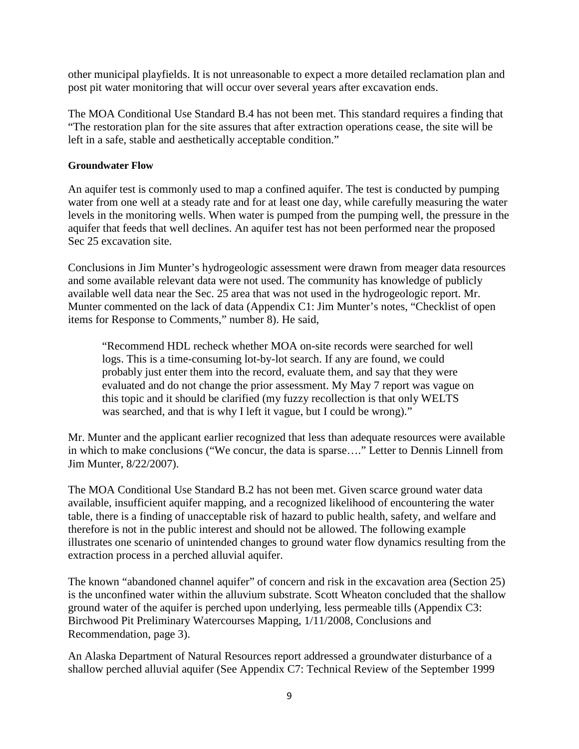other municipal playfields. It is not unreasonable to expect a more detailed reclamation plan and post pit water monitoring that will occur over several years after excavation ends.

The MOA Conditional Use Standard B.4 has not been met. This standard requires a finding that "The restoration plan for the site assures that after extraction operations cease, the site will be left in a safe, stable and aesthetically acceptable condition."

#### **Groundwater Flow**

An aquifer test is commonly used to map a confined aquifer. The test is conducted by pumping water from one well at a steady rate and for at least one day, while carefully measuring the water levels in the monitoring wells. When water is pumped from the pumping well, the pressure in the aquifer that feeds that well declines. An aquifer test has not been performed near the proposed Sec 25 excavation site.

Conclusions in Jim Munter's hydrogeologic assessment were drawn from meager data resources and some available relevant data were not used. The community has knowledge of publicly available well data near the Sec. 25 area that was not used in the hydrogeologic report. Mr. Munter commented on the lack of data (Appendix C1: Jim Munter's notes, "Checklist of open items for Response to Comments," number 8). He said,

"Recommend HDL recheck whether MOA on-site records were searched for well logs. This is a time-consuming lot-by-lot search. If any are found, we could probably just enter them into the record, evaluate them, and say that they were evaluated and do not change the prior assessment. My May 7 report was vague on this topic and it should be clarified (my fuzzy recollection is that only WELTS was searched, and that is why I left it vague, but I could be wrong)."

Mr. Munter and the applicant earlier recognized that less than adequate resources were available in which to make conclusions ("We concur, the data is sparse…." Letter to Dennis Linnell from Jim Munter, 8/22/2007).

The MOA Conditional Use Standard B.2 has not been met. Given scarce ground water data available, insufficient aquifer mapping, and a recognized likelihood of encountering the water table, there is a finding of unacceptable risk of hazard to public health, safety, and welfare and therefore is not in the public interest and should not be allowed. The following example illustrates one scenario of unintended changes to ground water flow dynamics resulting from the extraction process in a perched alluvial aquifer.

The known "abandoned channel aquifer" of concern and risk in the excavation area (Section 25) is the unconfined water within the alluvium substrate. Scott Wheaton concluded that the shallow ground water of the aquifer is perched upon underlying, less permeable tills (Appendix C3: Birchwood Pit Preliminary Watercourses Mapping, 1/11/2008, Conclusions and Recommendation, page 3).

An Alaska Department of Natural Resources report addressed a groundwater disturbance of a shallow perched alluvial aquifer (See Appendix C7: Technical Review of the September 1999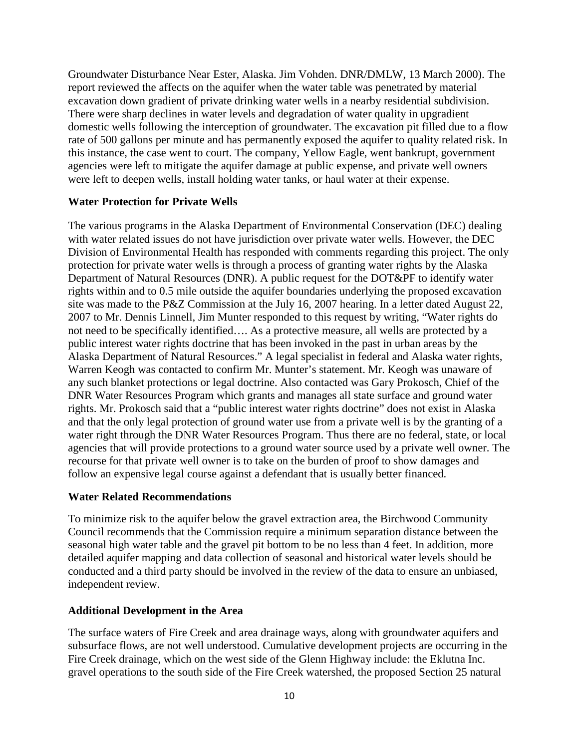Groundwater Disturbance Near Ester, Alaska. Jim Vohden. DNR/DMLW, 13 March 2000). The report reviewed the affects on the aquifer when the water table was penetrated by material excavation down gradient of private drinking water wells in a nearby residential subdivision. There were sharp declines in water levels and degradation of water quality in upgradient domestic wells following the interception of groundwater. The excavation pit filled due to a flow rate of 500 gallons per minute and has permanently exposed the aquifer to quality related risk. In this instance, the case went to court. The company, Yellow Eagle, went bankrupt, government agencies were left to mitigate the aquifer damage at public expense, and private well owners were left to deepen wells, install holding water tanks, or haul water at their expense.

#### **Water Protection for Private Wells**

The various programs in the Alaska Department of Environmental Conservation (DEC) dealing with water related issues do not have jurisdiction over private water wells. However, the DEC Division of Environmental Health has responded with comments regarding this project. The only protection for private water wells is through a process of granting water rights by the Alaska Department of Natural Resources (DNR). A public request for the DOT&PF to identify water rights within and to 0.5 mile outside the aquifer boundaries underlying the proposed excavation site was made to the P&Z Commission at the July 16, 2007 hearing. In a letter dated August 22, 2007 to Mr. Dennis Linnell, Jim Munter responded to this request by writing, "Water rights do not need to be specifically identified…. As a protective measure, all wells are protected by a public interest water rights doctrine that has been invoked in the past in urban areas by the Alaska Department of Natural Resources." A legal specialist in federal and Alaska water rights, Warren Keogh was contacted to confirm Mr. Munter's statement. Mr. Keogh was unaware of any such blanket protections or legal doctrine. Also contacted was Gary Prokosch, Chief of the DNR Water Resources Program which grants and manages all state surface and ground water rights. Mr. Prokosch said that a "public interest water rights doctrine" does not exist in Alaska and that the only legal protection of ground water use from a private well is by the granting of a water right through the DNR Water Resources Program. Thus there are no federal, state, or local agencies that will provide protections to a ground water source used by a private well owner. The recourse for that private well owner is to take on the burden of proof to show damages and follow an expensive legal course against a defendant that is usually better financed.

#### **Water Related Recommendations**

To minimize risk to the aquifer below the gravel extraction area, the Birchwood Community Council recommends that the Commission require a minimum separation distance between the seasonal high water table and the gravel pit bottom to be no less than 4 feet. In addition, more detailed aquifer mapping and data collection of seasonal and historical water levels should be conducted and a third party should be involved in the review of the data to ensure an unbiased, independent review.

#### **Additional Development in the Area**

The surface waters of Fire Creek and area drainage ways, along with groundwater aquifers and subsurface flows, are not well understood. Cumulative development projects are occurring in the Fire Creek drainage, which on the west side of the Glenn Highway include: the Eklutna Inc. gravel operations to the south side of the Fire Creek watershed, the proposed Section 25 natural